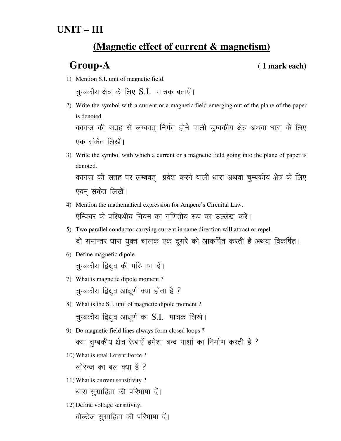# **UNIT – III**

## **(Magnetic effect of current & magnetism)**

### **Group-A ( 1 mark each)**

1) Mention S.I. unit of magnetic field.

चुम्बकीय क्षेत्र के लिए  $S.I.$  मात्रक बताएँ।

- 2) Write the symbol with a current or a magnetic field emerging out of the plane of the paper is denoted. कागज की सतह से लम्बवत् निर्गत होने वाली चुम्बकीय क्षेत्र अथवा धारा के लिए एक संकेत लिखें।
- 3) Write the symbol with which a current or a magnetic field going into the plane of paper is denoted. कागज की सतह पर लम्बवत् प्रवेश करने वाली धारा अथवा चुम्बकीय क्षेत्र के लिए

एवम संकेत लिखें।

- 4) Mention the mathematical expression for Ampere's Circuital Law. ऐम्पियर के परिपथीय नियम का गणितीय रूप का उल्लेख करें।
- 5) Two parallel conductor carrying current in same direction will attract or repel. दो समान्तर धारा युक्त चालक एक दूसरे को आकर्षित करती हैं अथवा विकर्षित।
- 6) Define magnetic dipole. चुम्बकीय द्विध्रुव की परिभाषा दें।
- 7) What is magnetic dipole moment ? चुम्बकीय द्विध्रुव आधूर्ण क्या होता है ?
- 8) What is the S.I. unit of magnetic dipole moment ? चुम्बकीय द्विध्रुव आधूर्ण का  $S.I.$  मात्रक लिखें।
- 9) Do magnetic field lines always form closed loops ? क्या चुम्बकीय क्षेत्र रेखाएँ हमेशा बन्द पाशों का निर्माण करती है ?
- 10) What is total Lorent Force ?

लोरेन्ज का बल क्या है ?

11) What is current sensitivity ?

धारा सुग्राहिता की परिभाषा दें।

12) Define voltage sensitivity.

वोल्टेज सुग्राहिता की परिभाषा दें।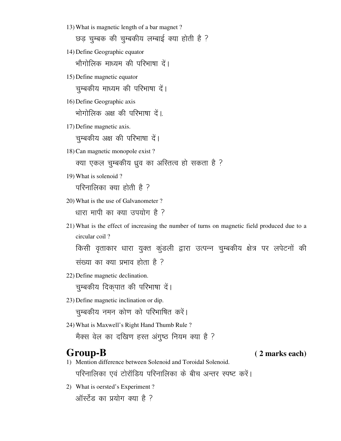13) What is magnetic length of a bar magnet ?

छड़ चुम्बक की चुम्बकीय लम्बाई क्या होती है ?

14) Define Geographic equator

भौगोलिक माध्यम की परिभाषा दें।

15) Define magnetic equator

चुम्बकीय माध्यम की परिभाषा दें।

16) Define Geographic axis

भोगोलिक अक्ष की परिभाषा दें।

17) Define magnetic axis.

चुम्बकीय अक्ष की परिभाषा दें।

18) Can magnetic monopole exist ?

क्या एकल चुम्बकीय ध्रुव का अस्तित्व हो सकता है ?

19) What is solenoid ?

परिनालिका क्या होती है ?

20) What is the use of Galvanometer ?

धारा मापी का क्या उपयोग है ?

21) What is the effect of increasing the number of turns on magnetic field produced due to a circular coil ?

किसी वृताकार धारा युक्त कुंडली द्वारा उत्पन्न चुम्बकीय क्षेत्र पर लपेटनों की संख्या का क्या प्रभाव होता है ?

22) Define magnetic declination.

चुम्बकीय दिकुपात की परिभाषा दें।

23) Define magnetic inclination or dip.

चुम्बकीय नमन कोण को परिभाषित करें।

24) What is Maxwell's Right Hand Thumb Rule ?

मैक्स वेल का दखिण हस्त अंगुष्ठ नियम क्या है ?

- 1) Mention difference between Solenoid and Toroidal Solenoid. परिनालिका एवं टोरॉडिय परिनालिका के बीच अन्तर स्पष्ट करें।
- 2) What is oersted's Experiment ? ऑर्स्टेंड का प्रयोग क्या है ?

**Group-B ( 2 marks each)**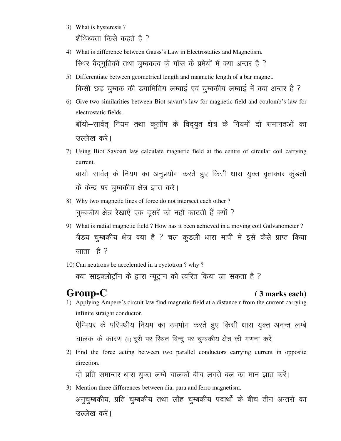- 3) What is hysteresis ? शैथिध्यता किसे कहते है ?
- 4) What is difference between Gauss's Law in Electrostatics and Magnetism. रिथर वैद्युतिकी तथा चुम्बकत्व के गॉस के प्रमेयों में क्या अन्तर है ?
- 5) Differentiate between geometrical length and magnetic length of a bar magnet. किसी छड़ चुम्बक की डयामितिय लम्बाई एवं चुम्बकीय लम्बाई में क्या अन्तर है ?
- 6) Give two similarities between Biot savart's law for magnetic field and coulomb's law for electrostatic fields. बॉयो–सार्वत् नियम तथा कूलॉम के विद्युत क्षेत्र के नियमों दो समानतओं का उल्लेख करें।
- 7) Using Biot Savoart law calculate magnetic field at the centre of circular coil carrying current. बायो-सार्वत् के नियम का अनुप्रयोग करते हुए किसी धारा युक्त वृताकार कुंडली के केन्द्र पर चुम्बकीय क्षेत्र ज्ञात करें।
- 8) Why two magnetic lines of force do not intersect each other? चुम्बकीय क्षेत्र रेखाएँ एक दूसरें को नहीं काटती हैं क्यों ?
- 9) What is radial magnetic field ? How has it been achieved in a moving coil Galvanometer ? त्रैडय चुम्बकीय क्षेत्र क्या है ? चल कुंडली धारा मापी में इसे कैसे प्राप्त किया जाता है ?
- 10) Can neutrons be accelerated in a cyctotron ? why ?

क्या साइक्लोट्रॉन के द्वारा न्यूट्रान को त्वरित किया जा सकता है ?

### Group-C

### (3 marks each)

- 1) Applying Ampere's circuit law find magnetic field at a distance r from the current carrying infinite straight conductor. ऐम्पियर के परिपथीय नियम का उपभोग करते हुए किसी धारा युक्त अनन्त लम्बे चालक के कारण (r) दूरी पर स्थित बिन्दू पर चुम्बकीय क्षेत्र की गणना करें।
- 2) Find the force acting between two parallel conductors carrying current in opposite direction.

दो प्रति समान्तर धारा युक्त लम्बे चालकों बीच लगते बल का मान ज्ञात करें।

3) Mention three differences between dia, para and ferro magnetism. अनुचुम्बकीय, प्रति चुम्बकीय तथा लौह चुम्बकीय पदार्थों के बीच तीन अन्तरों का उल्लेख करें।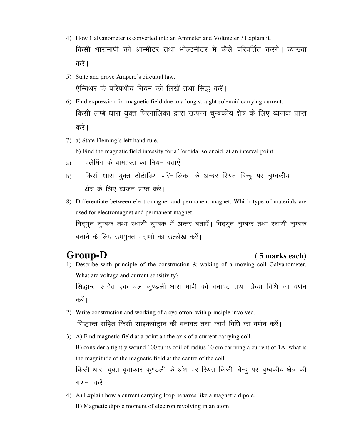- 4) How Galvanometer is converted into an Ammeter and Voltmeter ? Explain it. किसी धारामापी को आम्मीटर तथा भोल्टमीटर में कैसे परिवर्तित करेंगे। व्याख्या करें ।
- 5) State and prove Ampere's circuital law. ऐम्यिथर के परिपथीय नियम को लिखें तथा सिद्ध करें।
- 6) Find expression for magnetic field due to a long straight solenoid carrying current. किसी लम्बे धारा युक्त पिरनालिका द्वारा उत्पन्न चुम्बकीय क्षेत्र के लिए व्यंजक प्राप्त करें ।
- 7) a) State Fleming's left hand rule.
	- b) Find the magnatic field intessity for a Toroidal solenoid. at an interval point.
- a) फ्लेमिंग के वामहस्त का नियम बताएँ।
- b) किसी धारा युक्त टोटॉडिय परिनालिका के अन्दर स्थित बिन्दू पर चुम्बकीय क्षेत्र के लिए व्यंजन प्राप्त करें।
- 8) Differentiate between electromagnet and permanent magnet. Which type of materials are used for electromagnet and permanent magnet. विद्युत चुम्बक तथा स्थायी चुम्बक में अन्तर बताएँ। विद्युत चुम्बक तथा स्थायी चुम्बक बनाने के लिए उपयुक्त पदार्थो का उल्लेख करें।

### **Group-D ( 5 marks each)**

1) Describe with principle of the construction & waking of a moving coil Galvanometer. What are voltage and current sensitivity?

सिद्धान्त सहित एक चल कुण्डली धारा मापी की बनावट तथा क्रिया विधि का वर्णन करें ।

- 2) Write construction and working of a cyclotron, with principle involved. सिद्धान्त सहित किसी साइक्लोट्रान की बनावट तथा कार्य विधि का वर्णन करें।
- 3) A) Find magnetic field at a point an the axis of a current carrying coil. B) consider a tightly wound 100 turns coil of radius 10 cm carrying a current of 1A. what is the magnitude of the magnetic field at the centre of the coil. किसी धारा युक्त वृताकार कुण्डली के अंश पर स्थित किसी बिन्दु पर चुम्बकीय क्षेत्र की गणना करें।
- 4) A) Explain how a current carrying loop behaves like a magnetic dipole.

B) Magnetic dipole moment of electron revolving in an atom